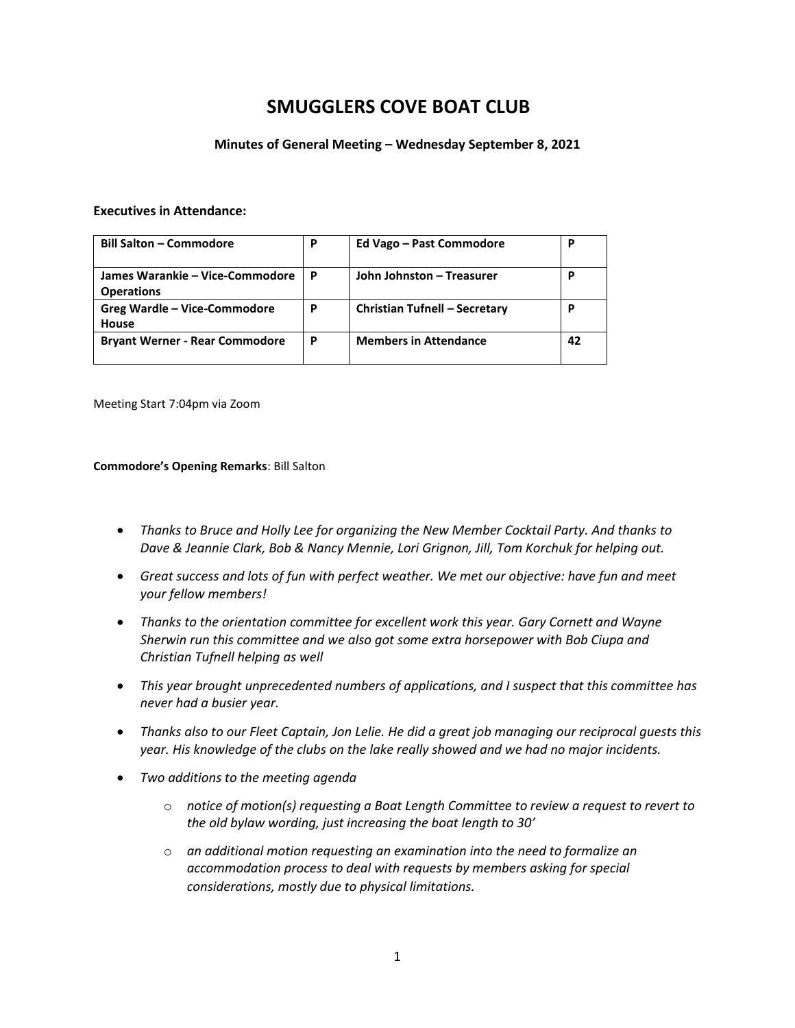## **SMUGGLERS COVE BOAT CLUB**

#### **Minutes of General Meeting – Wednesday September 8, 2021**

#### **Executives in Attendance:**

| <b>Bill Salton - Commodore</b>                       | P | Ed Vago - Past Commodore             | P  |
|------------------------------------------------------|---|--------------------------------------|----|
| James Warankie – Vice-Commodore<br><b>Operations</b> | P | John Johnston - Treasurer            | р  |
| Greg Wardle - Vice-Commodore<br>House                | P | <b>Christian Tufnell - Secretary</b> | P  |
| <b>Bryant Werner - Rear Commodore</b>                | P | <b>Members in Attendance</b>         | 42 |

Meeting Start 7:04pm via Zoom

#### **Commodore's Opening Remarks**: Bill Salton

- *Thanks to Bruce and Holly Lee for organizing the New Member Cocktail Party. And thanks to Dave & Jeannie Clark, Bob & Nancy Mennie, Lori Grignon, Jill, Tom Korchuk for helping out.*
- *Great success and lots of fun with perfect weather. We met our objective: have fun and meet your fellow members!*
- *Thanks to the orientation committee for excellent work this year. Gary Cornett and Wayne Sherwin run this committee and we also got some extra horsepower with Bob Ciupa and Christian Tufnell helping as well*
- *This year brought unprecedented numbers of applications, and I suspect that this committee has never had a busier year.*
- Thanks also to our Fleet Captain, Jon Lelie. He did a great job managing our reciprocal quests this *year. His knowledge of the clubs on the lake really showed and we had no major incidents.*
- *Two additions to the meeting agenda*
	- o *notice of motion(s) requesting a Boat Length Committee to review a request to revert to the old bylaw wording, just increasing the boat length to 30'*
	- o *an additional motion requesting an examination into the need to formalize an accommodation process to deal with requests by members asking for special considerations, mostly due to physical limitations.*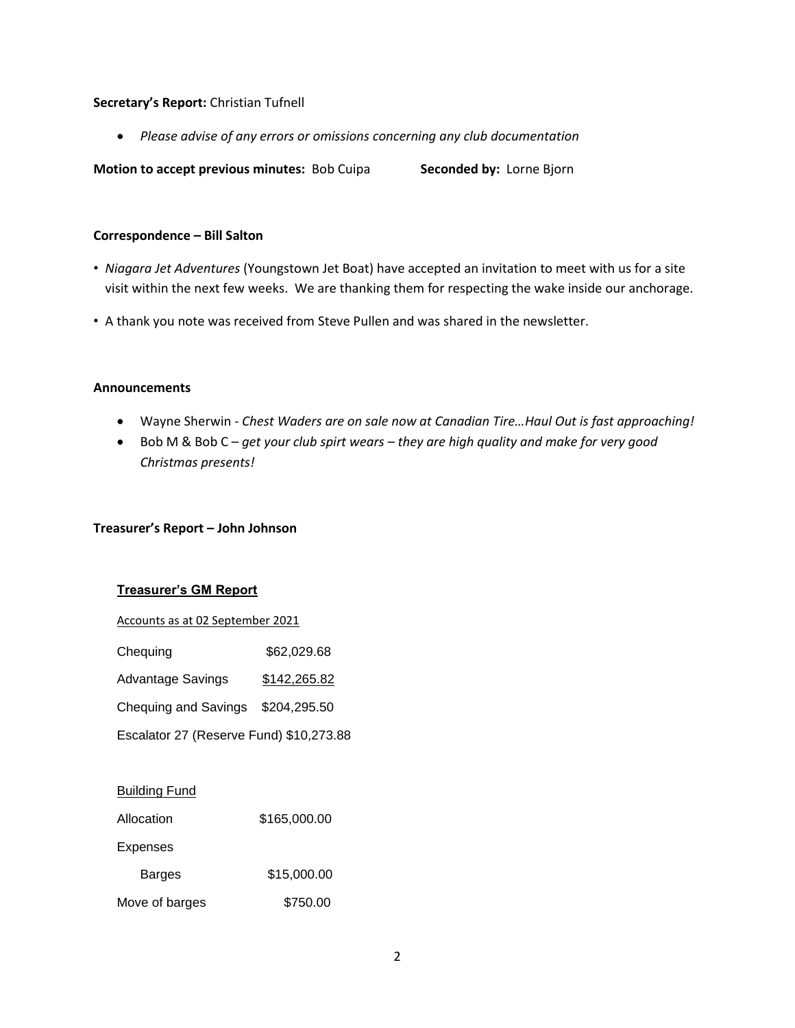#### **Secretary's Report:** Christian Tufnell

• *Please advise of any errors or omissions concerning any club documentation*

**Motion to accept previous minutes: Bob Cuipa Seconded by: Lorne Bjorn** 

#### **Correspondence – Bill Salton**

- *Niagara Jet Adventures* (Youngstown Jet Boat) have accepted an invitation to meet with us for a site visit within the next few weeks. We are thanking them for respecting the wake inside our anchorage.
- A thank you note was received from Steve Pullen and was shared in the newsletter.

#### **Announcements**

- Wayne Sherwin *Chest Waders are on sale now at Canadian Tire…Haul Out is fast approaching!*
- Bob M & Bob C *get your club spirt wears – they are high quality and make for very good Christmas presents!*

## **Treasurer's Report – John Johnson**

## **Treasurer's GM Report**

Accounts as at 02 September 2021

| Chequing | \$62,029.68 |
|----------|-------------|
|----------|-------------|

| <b>Advantage Savings</b> | \$142,265.82 |
|--------------------------|--------------|
|--------------------------|--------------|

Chequing and Savings \$204,295.50

Escalator 27 (Reserve Fund) \$10,273.88

| <b>Building Fund</b> |              |
|----------------------|--------------|
| Allocation           | \$165,000.00 |
| <b>Expenses</b>      |              |
| <b>Barges</b>        | \$15,000.00  |
| Move of barges       | \$750.00     |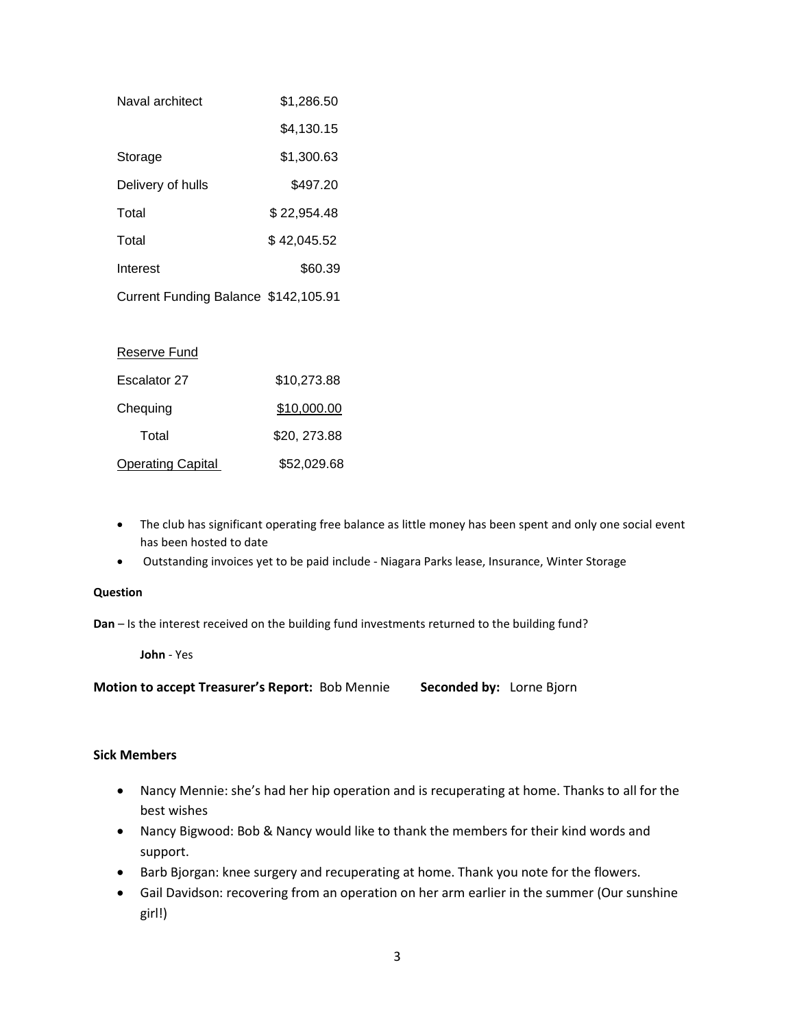| Naval architect                      | \$1,286.50  |
|--------------------------------------|-------------|
|                                      | \$4,130.15  |
| Storage                              | \$1,300.63  |
| Delivery of hulls                    | \$497.20    |
| Total                                | \$22,954.48 |
| Total                                | \$42,045.52 |
| Interest                             | \$60.39     |
| Current Funding Balance \$142,105.91 |             |
|                                      |             |
| Reserve Fund                         |             |

# Escalator 27 \$10,273.88 Chequing \$10,000.00 Total \$20, 273.88 Operating Capital \$52,029.68

- The club has significant operating free balance as little money has been spent and only one social event has been hosted to date
- Outstanding invoices yet to be paid include Niagara Parks lease, Insurance, Winter Storage

#### **Question**

**Dan** – Is the interest received on the building fund investments returned to the building fund?

**John** - Yes

**Motion to accept Treasurer's Report:** Bob Mennie **Seconded by:** Lorne Bjorn

## **Sick Members**

- Nancy Mennie: she's had her hip operation and is recuperating at home. Thanks to all for the best wishes
- Nancy Bigwood: Bob & Nancy would like to thank the members for their kind words and support.
- Barb Bjorgan: knee surgery and recuperating at home. Thank you note for the flowers.
- Gail Davidson: recovering from an operation on her arm earlier in the summer (Our sunshine girl!)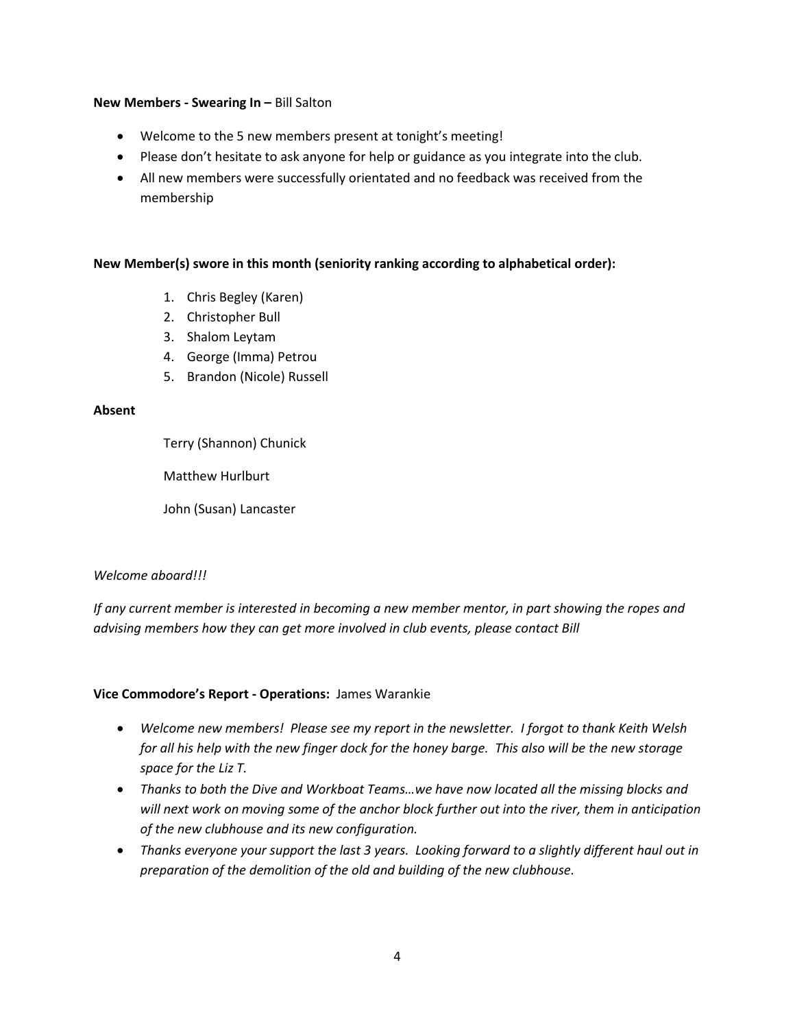## **New Members - Swearing In –** Bill Salton

- Welcome to the 5 new members present at tonight's meeting!
- Please don't hesitate to ask anyone for help or guidance as you integrate into the club.
- All new members were successfully orientated and no feedback was received from the membership

## **New Member(s) swore in this month (seniority ranking according to alphabetical order):**

- 1. Chris Begley (Karen)
- 2. Christopher Bull
- 3. Shalom Leytam
- 4. George (Imma) Petrou
- 5. Brandon (Nicole) Russell

## **Absent**

Terry (Shannon) Chunick

Matthew Hurlburt

John (Susan) Lancaster

## *Welcome aboard!!!*

*If any current member is interested in becoming a new member mentor, in part showing the ropes and advising members how they can get more involved in club events, please contact Bill* 

## **Vice Commodore's Report - Operations:** James Warankie

- *Welcome new members! Please see my report in the newsletter. I forgot to thank Keith Welsh for all his help with the new finger dock for the honey barge. This also will be the new storage space for the Liz T.*
- *Thanks to both the Dive and Workboat Teams…we have now located all the missing blocks and will next work on moving some of the anchor block further out into the river, them in anticipation of the new clubhouse and its new configuration.*
- *Thanks everyone your support the last 3 years. Looking forward to a slightly different haul out in preparation of the demolition of the old and building of the new clubhouse.*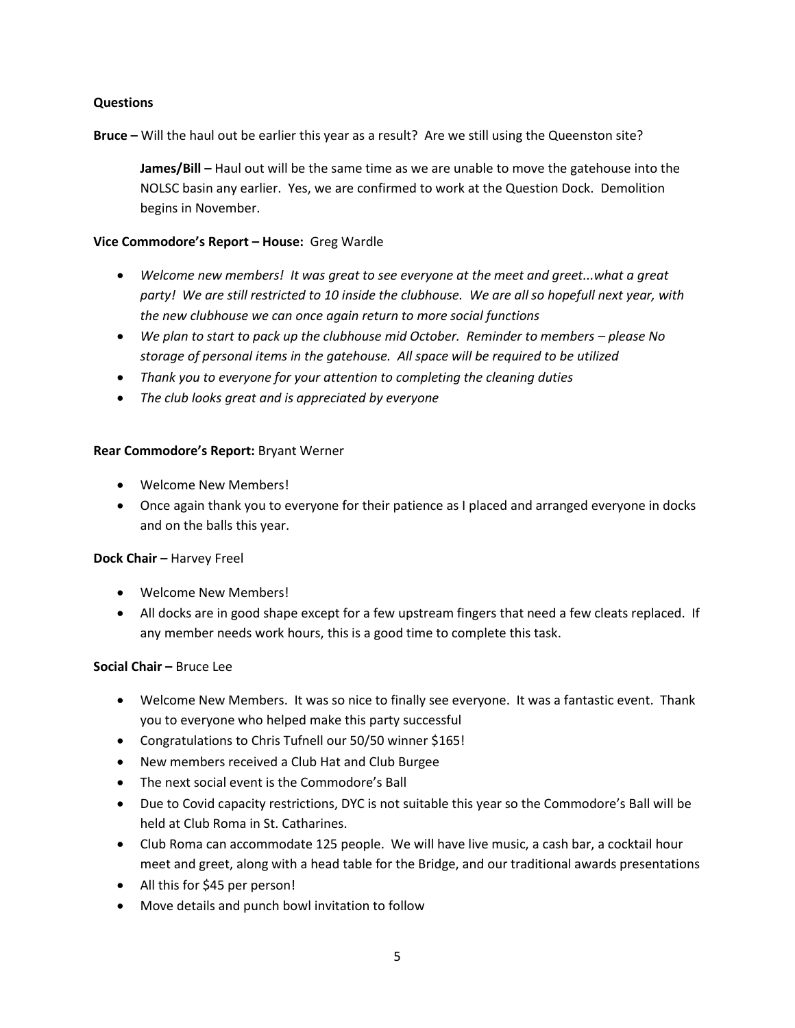## **Questions**

**Bruce –** Will the haul out be earlier this year as a result? Are we still using the Queenston site?

**James/Bill –** Haul out will be the same time as we are unable to move the gatehouse into the NOLSC basin any earlier. Yes, we are confirmed to work at the Question Dock. Demolition begins in November.

## **Vice Commodore's Report – House:** Greg Wardle

- *Welcome new members! It was great to see everyone at the meet and greet...what a great party! We are still restricted to 10 inside the clubhouse. We are all so hopefull next year, with the new clubhouse we can once again return to more social functions*
- We plan to start to pack up the clubhouse mid October. Reminder to members please No *storage of personal items in the gatehouse. All space will be required to be utilized*
- *Thank you to everyone for your attention to completing the cleaning duties*
- *The club looks great and is appreciated by everyone*

## **Rear Commodore's Report:** Bryant Werner

- Welcome New Members!
- Once again thank you to everyone for their patience as I placed and arranged everyone in docks and on the balls this year.

## **Dock Chair – Harvey Freel**

- Welcome New Members!
- All docks are in good shape except for a few upstream fingers that need a few cleats replaced. If any member needs work hours, this is a good time to complete this task.

## **Social Chair –** Bruce Lee

- Welcome New Members. It was so nice to finally see everyone. It was a fantastic event. Thank you to everyone who helped make this party successful
- Congratulations to Chris Tufnell our 50/50 winner \$165!
- New members received a Club Hat and Club Burgee
- The next social event is the Commodore's Ball
- Due to Covid capacity restrictions, DYC is not suitable this year so the Commodore's Ball will be held at Club Roma in St. Catharines.
- Club Roma can accommodate 125 people. We will have live music, a cash bar, a cocktail hour meet and greet, along with a head table for the Bridge, and our traditional awards presentations
- All this for \$45 per person!
- Move details and punch bowl invitation to follow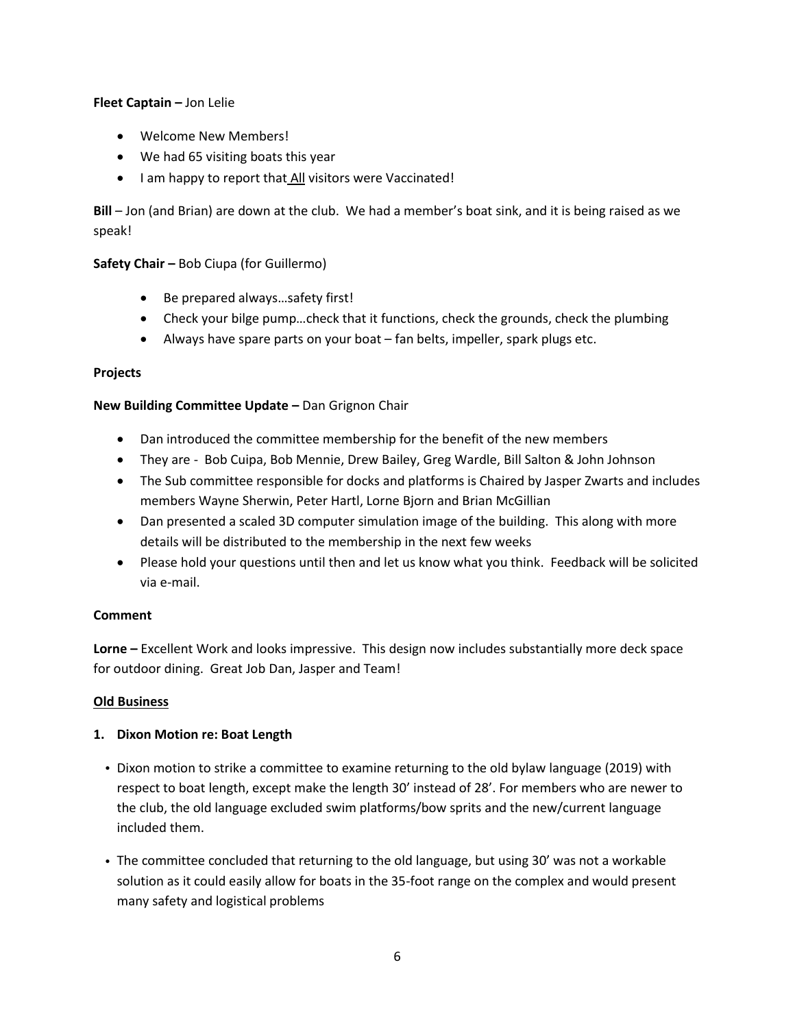## **Fleet Captain –** Jon Lelie

- Welcome New Members!
- We had 65 visiting boats this year
- I am happy to report that All visitors were Vaccinated!

**Bill** – Jon (and Brian) are down at the club. We had a member's boat sink, and it is being raised as we speak!

## **Safety Chair –** Bob Ciupa (for Guillermo)

- Be prepared always…safety first!
- Check your bilge pump…check that it functions, check the grounds, check the plumbing
- Always have spare parts on your boat fan belts, impeller, spark plugs etc.

## **Projects**

## **New Building Committee Update –** Dan Grignon Chair

- Dan introduced the committee membership for the benefit of the new members
- They are Bob Cuipa, Bob Mennie, Drew Bailey, Greg Wardle, Bill Salton & John Johnson
- The Sub committee responsible for docks and platforms is Chaired by Jasper Zwarts and includes members Wayne Sherwin, Peter Hartl, Lorne Bjorn and Brian McGillian
- Dan presented a scaled 3D computer simulation image of the building. This along with more details will be distributed to the membership in the next few weeks
- Please hold your questions until then and let us know what you think. Feedback will be solicited via e-mail.

## **Comment**

**Lorne –** Excellent Work and looks impressive. This design now includes substantially more deck space for outdoor dining. Great Job Dan, Jasper and Team!

## **Old Business**

## **1. Dixon Motion re: Boat Length**

- Dixon motion to strike a committee to examine returning to the old bylaw language (2019) with respect to boat length, except make the length 30' instead of 28'. For members who are newer to the club, the old language excluded swim platforms/bow sprits and the new/current language included them.
- The committee concluded that returning to the old language, but using 30' was not a workable solution as it could easily allow for boats in the 35-foot range on the complex and would present many safety and logistical problems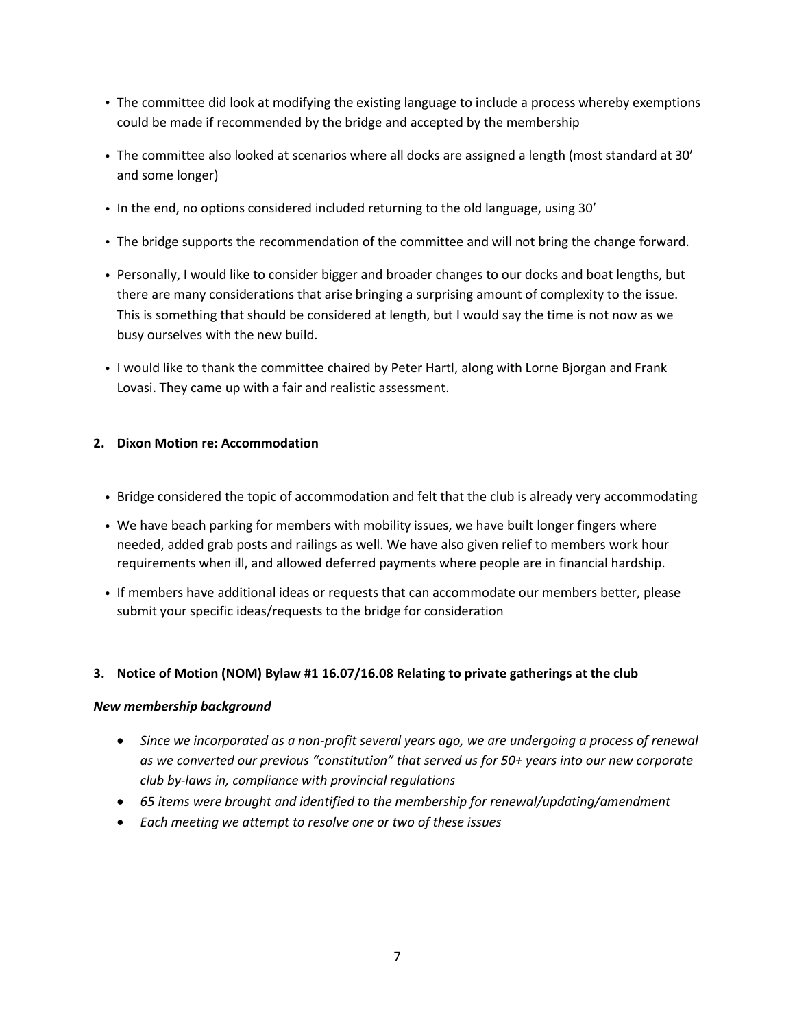- The committee did look at modifying the existing language to include a process whereby exemptions could be made if recommended by the bridge and accepted by the membership
- The committee also looked at scenarios where all docks are assigned a length (most standard at 30' and some longer)
- In the end, no options considered included returning to the old language, using 30'
- The bridge supports the recommendation of the committee and will not bring the change forward.
- Personally, I would like to consider bigger and broader changes to our docks and boat lengths, but there are many considerations that arise bringing a surprising amount of complexity to the issue. This is something that should be considered at length, but I would say the time is not now as we busy ourselves with the new build.
- I would like to thank the committee chaired by Peter Hartl, along with Lorne Bjorgan and Frank Lovasi. They came up with a fair and realistic assessment.

## **2. Dixon Motion re: Accommodation**

- Bridge considered the topic of accommodation and felt that the club is already very accommodating
- We have beach parking for members with mobility issues, we have built longer fingers where needed, added grab posts and railings as well. We have also given relief to members work hour requirements when ill, and allowed deferred payments where people are in financial hardship.
- If members have additional ideas or requests that can accommodate our members better, please submit your specific ideas/requests to the bridge for consideration

## **3. Notice of Motion (NOM) Bylaw #1 16.07/16.08 Relating to private gatherings at the club**

## *New membership background*

- *Since we incorporated as a non-profit several years ago, we are undergoing a process of renewal as we converted our previous "constitution" that served us for 50+ years into our new corporate club by-laws in, compliance with provincial regulations*
- *65 items were brought and identified to the membership for renewal/updating/amendment*
- *Each meeting we attempt to resolve one or two of these issues*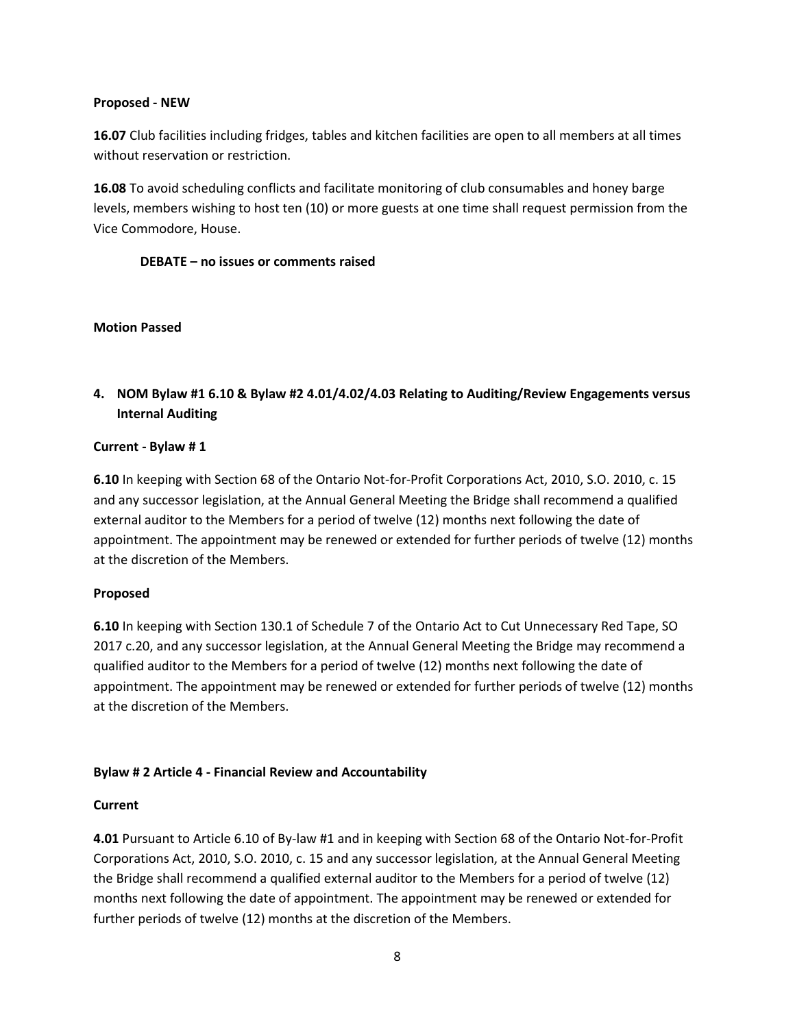#### **Proposed - NEW**

**16.07** Club facilities including fridges, tables and kitchen facilities are open to all members at all times without reservation or restriction.

**16.08** To avoid scheduling conflicts and facilitate monitoring of club consumables and honey barge levels, members wishing to host ten (10) or more guests at one time shall request permission from the Vice Commodore, House.

## **DEBATE – no issues or comments raised**

#### **Motion Passed**

**4. NOM Bylaw #1 6.10 & Bylaw #2 4.01/4.02/4.03 Relating to Auditing/Review Engagements versus Internal Auditing**

## **Current - Bylaw # 1**

**6.10** In keeping with Section 68 of the Ontario Not-for-Profit Corporations Act, 2010, S.O. 2010, c. 15 and any successor legislation, at the Annual General Meeting the Bridge shall recommend a qualified external auditor to the Members for a period of twelve (12) months next following the date of appointment. The appointment may be renewed or extended for further periods of twelve (12) months at the discretion of the Members.

## **Proposed**

**6.10** In keeping with Section 130.1 of Schedule 7 of the Ontario Act to Cut Unnecessary Red Tape, SO 2017 c.20, and any successor legislation, at the Annual General Meeting the Bridge may recommend a qualified auditor to the Members for a period of twelve (12) months next following the date of appointment. The appointment may be renewed or extended for further periods of twelve (12) months at the discretion of the Members.

## **Bylaw # 2 Article 4 - Financial Review and Accountability**

#### **Current**

**4.01** Pursuant to Article 6.10 of By-law #1 and in keeping with Section 68 of the Ontario Not-for-Profit Corporations Act, 2010, S.O. 2010, c. 15 and any successor legislation, at the Annual General Meeting the Bridge shall recommend a qualified external auditor to the Members for a period of twelve (12) months next following the date of appointment. The appointment may be renewed or extended for further periods of twelve (12) months at the discretion of the Members.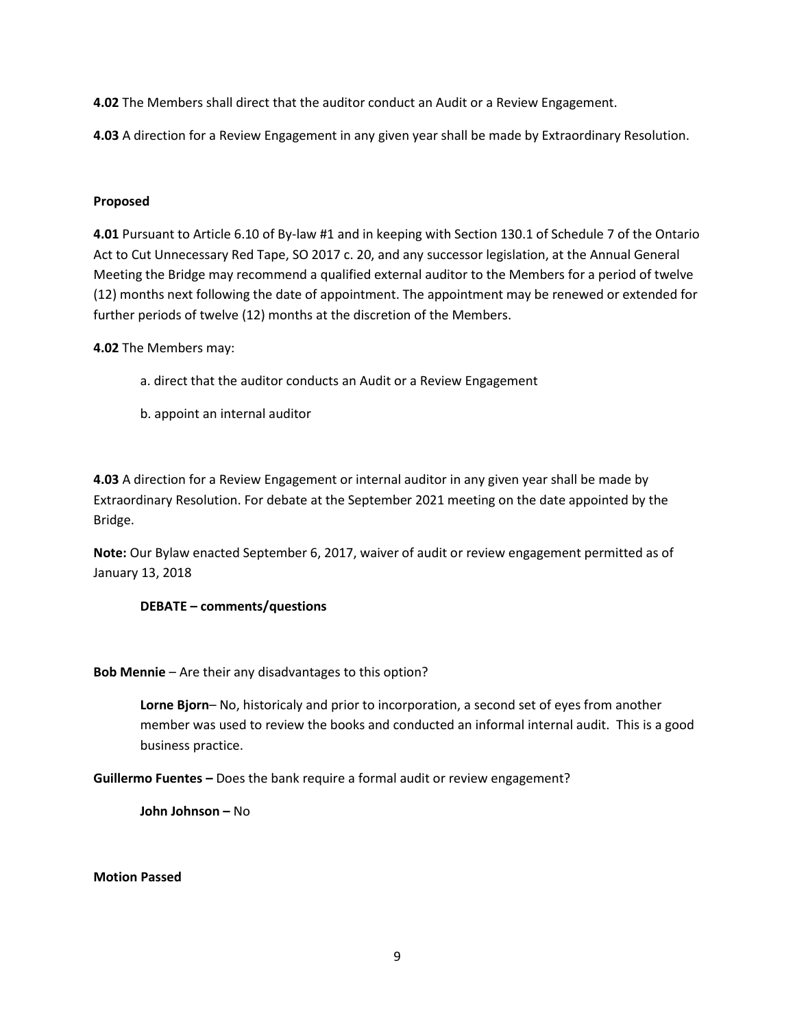**4.02** The Members shall direct that the auditor conduct an Audit or a Review Engagement.

**4.03** A direction for a Review Engagement in any given year shall be made by Extraordinary Resolution.

## **Proposed**

**4.01** Pursuant to Article 6.10 of By-law #1 and in keeping with Section 130.1 of Schedule 7 of the Ontario Act to Cut Unnecessary Red Tape, SO 2017 c. 20, and any successor legislation, at the Annual General Meeting the Bridge may recommend a qualified external auditor to the Members for a period of twelve (12) months next following the date of appointment. The appointment may be renewed or extended for further periods of twelve (12) months at the discretion of the Members.

**4.02** The Members may:

- a. direct that the auditor conducts an Audit or a Review Engagement
- b. appoint an internal auditor

**4.03** A direction for a Review Engagement or internal auditor in any given year shall be made by Extraordinary Resolution. For debate at the September 2021 meeting on the date appointed by the Bridge.

**Note:** Our Bylaw enacted September 6, 2017, waiver of audit or review engagement permitted as of January 13, 2018

## **DEBATE – comments/questions**

**Bob Mennie** – Are their any disadvantages to this option?

**Lorne Bjorn**– No, historicaly and prior to incorporation, a second set of eyes from another member was used to review the books and conducted an informal internal audit. This is a good business practice.

**Guillermo Fuentes –** Does the bank require a formal audit or review engagement?

**John Johnson –** No

## **Motion Passed**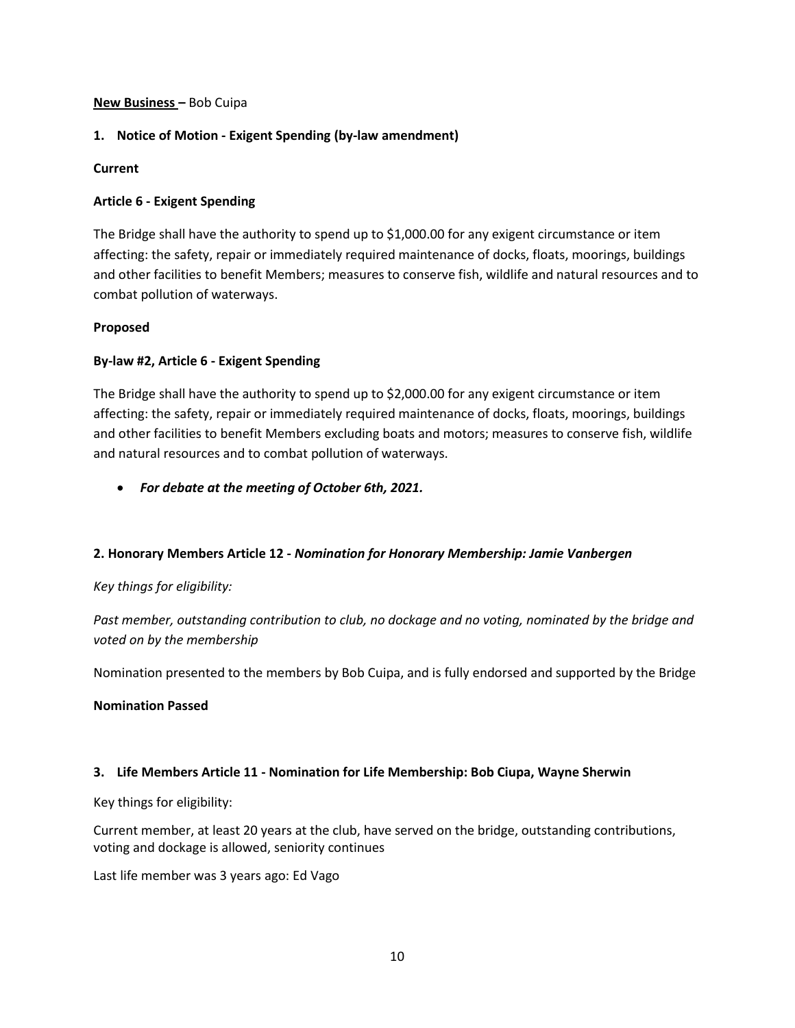#### **New Business –** Bob Cuipa

## **1. Notice of Motion - Exigent Spending (by-law amendment)**

## **Current**

## **Article 6 - Exigent Spending**

The Bridge shall have the authority to spend up to \$1,000.00 for any exigent circumstance or item affecting: the safety, repair or immediately required maintenance of docks, floats, moorings, buildings and other facilities to benefit Members; measures to conserve fish, wildlife and natural resources and to combat pollution of waterways.

## **Proposed**

## **By-law #2, Article 6 - Exigent Spending**

The Bridge shall have the authority to spend up to \$2,000.00 for any exigent circumstance or item affecting: the safety, repair or immediately required maintenance of docks, floats, moorings, buildings and other facilities to benefit Members excluding boats and motors; measures to conserve fish, wildlife and natural resources and to combat pollution of waterways.

• *For debate at the meeting of October 6th, 2021.*

## **2. Honorary Members Article 12 -** *Nomination for Honorary Membership: Jamie Vanbergen*

## *Key things for eligibility:*

*Past member, outstanding contribution to club, no dockage and no voting, nominated by the bridge and voted on by the membership*

Nomination presented to the members by Bob Cuipa, and is fully endorsed and supported by the Bridge

## **Nomination Passed**

## **3. Life Members Article 11 - Nomination for Life Membership: Bob Ciupa, Wayne Sherwin**

Key things for eligibility:

Current member, at least 20 years at the club, have served on the bridge, outstanding contributions, voting and dockage is allowed, seniority continues

Last life member was 3 years ago: Ed Vago